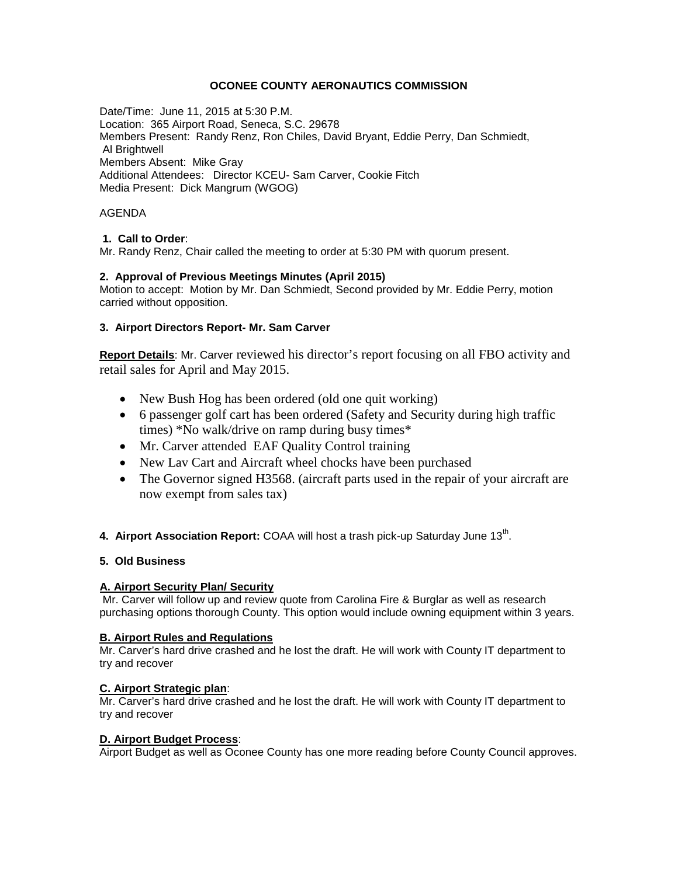## **OCONEE COUNTY AERONAUTICS COMMISSION**

Date/Time: June 11, 2015 at 5:30 P.M. Location: 365 Airport Road, Seneca, S.C. 29678 Members Present: Randy Renz, Ron Chiles, David Bryant, Eddie Perry, Dan Schmiedt, Al Brightwell Members Absent: Mike Gray Additional Attendees: Director KCEU- Sam Carver, Cookie Fitch Media Present: Dick Mangrum (WGOG)

## AGENDA

# **1. Call to Order**:

Mr. Randy Renz, Chair called the meeting to order at 5:30 PM with quorum present.

## **2. Approval of Previous Meetings Minutes (April 2015)**

Motion to accept: Motion by Mr. Dan Schmiedt, Second provided by Mr. Eddie Perry, motion carried without opposition.

# **3. Airport Directors Report- Mr. Sam Carver**

**Report Details**: Mr. Carver reviewed his director's report focusing on all FBO activity and retail sales for April and May 2015.

- New Bush Hog has been ordered (old one quit working)
- 6 passenger golf cart has been ordered (Safety and Security during high traffic times) \*No walk/drive on ramp during busy times\*
- Mr. Carver attended EAF Quality Control training
- New Lav Cart and Aircraft wheel chocks have been purchased
- The Governor signed H3568. (aircraft parts used in the repair of your aircraft are now exempt from sales tax)
- **4. Airport Association Report:** COAA will host a trash pick-up Saturday June 13<sup>th</sup>.

## **5. Old Business**

# **A. Airport Security Plan/ Security**

Mr. Carver will follow up and review quote from Carolina Fire & Burglar as well as research purchasing options thorough County. This option would include owning equipment within 3 years.

## **B. Airport Rules and Regulations**

Mr. Carver's hard drive crashed and he lost the draft. He will work with County IT department to try and recover

## **C. Airport Strategic plan**:

Mr. Carver's hard drive crashed and he lost the draft. He will work with County IT department to try and recover

## **D. Airport Budget Process**:

Airport Budget as well as Oconee County has one more reading before County Council approves.